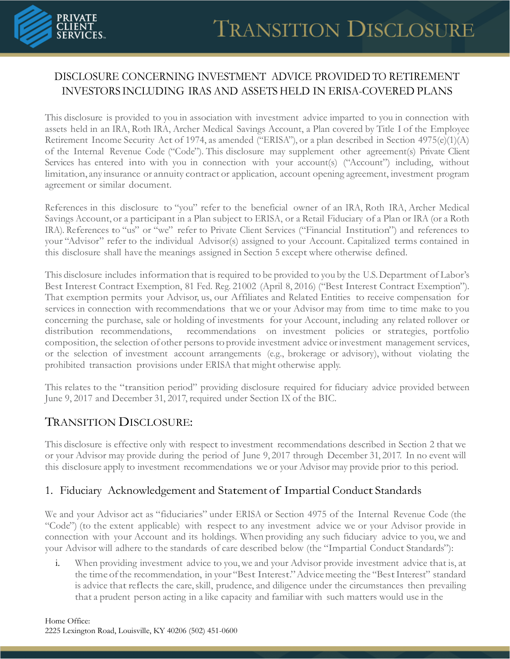

# DISCLOSURE CONCERNING INVESTMENT ADVICE PROVIDED TO RETIREMENT INVESTORS INCLUDING IRAS AND ASSETS HELD IN ERISA-COVERED PLANS

This disclosure is provided to you in association with investment advice imparted to you in connection with assets held in an IRA, Roth IRA, Archer Medical Savings Account, a Plan covered by Title I of the Employee Retirement Income Security Act of 1974, as amended ("ERISA"), or a plan described in Section 4975(e)(1)(A) of the Internal Revenue Code ("Code"). This disclosure may supplement other agreement(s) Private Client Services has entered into with you in connection with your account(s) ("Account") including, without limitation, any insurance or annuity contract or application, account opening agreement, investment program agreement or similar document.

References in this disclosure to "you" refer to the beneficial owner of an IRA, Roth IRA, Archer Medical Savings Account, or a participant in a Plan subject to ERISA, or a Retail Fiduciary of a Plan or IRA (or a Roth IRA). References to "us" or "we" refer to Private Client Services ("Financial Institution") and references to your "Advisor" refer to the individual Advisor(s) assigned to your Account. Capitalized terms contained in this disclosure shall have the meanings assigned in Section 5 except where otherwise defined.

This disclosure includes information that is required to be provided to you by the U.S.Department of Labor's Best Interest Contract Exemption, 81 Fed. Reg. 21002 (April 8, 2016) ("Best Interest Contract Exemption"). That exemption permits your Advisor, us, our Affiliates and Related Entities to receive compensation for services in connection with recommendations that we or your Advisor may from time to time make to you concerning the purchase, sale or holding of investments for your Account, including any related rollover or distribution recommendations, recommendations on investment policies or strategies, portfolio composition, the selection of other persons to provide investment advice or investment management services, or the selection of investment account arrangements (e.g., brokerage or advisory), without violating the prohibited transaction provisions under ERISA that might otherwise apply.

This relates to the "transition period" providing disclosure required for fiduciary advice provided between June 9, 2017 and December 31, 2017, required under Section IX of the BIC.

# TRANSITION DISCLOSURE:

This disclosure is effective only with respect to investment recommendations described in Section 2 that we or your Advisor may provide during the period of June 9, 2017 through December 31, 2017. In no event will this disclosure apply to investment recommendations we or your Advisor may provide prior to this period.

# 1. Fiduciary Acknowledgement and Statement of Impartial Conduct Standards

We and your Advisor act as "fiduciaries" under ERISA or Section 4975 of the Internal Revenue Code (the "Code") (to the extent applicable) with respect to any investment advice we or your Advisor provide in connection with your Account and its holdings. When providing any such fiduciary advice to you, we and your Advisor will adhere to the standards of care described below (the "Impartial Conduct Standards"):

i. When providing investment advice to you, we and your Advisor provide investment advice that is, at the time ofthe recommendation, in your "Best Interest."Advicemeeting the "BestInterest" standard is advice that reflects the care, skill, prudence, and diligence under the circumstances then prevailing that a prudent person acting in a like capacity and familiar with such matters would use in the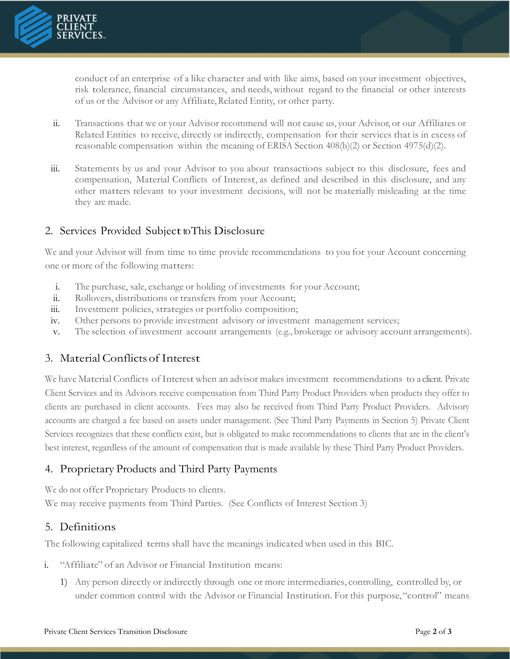

conduct of an enterprise of a like character and with like aims, based on your investment objectives, risk tolerance, financial circumstances, and needs, without regard to the financial or other interests of us or the Advisor or any Affiliate, Related Entity, or other party.

- ii. Transactions that we or your Advisor recommend will not cause us, your Advisor, or our Affiliates or Related Entities to receive, directly or indirectly, compensation for their services that is in excess of reasonable compensation within the meaning of ERISA Section 408(b)(2) or Section 4975(d)(2).
- iii. Statements by us and your Advisor to you about transactions subject to this disclosure, fees and compensation, Material Conflicts of Interest, as defined and described in this disclosure, and any other matters relevant to your investment decisions, will not be materially misleading at the time they are made.

#### 2. Services Provided Subject to This Disclosure

We and your Advisor will from time to time provide recommendations to you for your Account concerning one or more of the following matters:

- i. The purchase, sale, exchange or holding of investments for your Account;
- ii. Rollovers, distributions or transfers from your Account;
- iii. Investment policies, strategies or portfolio composition;
- iv. Other persons to provide investment advisory or investment management services;
- v. The selection of investment account arrangements (e.g., brokerage or advisory account arrangements).

# 3. Material Conflictsof Interest

We have Material Conflicts of Interest when an advisor makes investment recommendations to a client. Private Client Services and its Advisors receive compensation from Third Party Product Providers when products they offer to clients are purchased in client accounts. Fees may also be received from Third Party Product Providers. Advisory accounts are charged a fee based on assets under management. (See Third Party Payments in Section 5) Private Client Services recognizes that these conflicts exist, but is obligated to make recommendations to clients that are in the client's best interest, regardless of the amount of compensation that is made available by these Third Party Product Providers.

# 4. Proprietary Products and Third Party Payments

We do not offer Proprietary Products to clients. We may receive payments from Third Parties. (See Conflicts of Interest Section 3)

# 5. Definitions

The following capitalized terms shall have the meanings indicated when used in this BIC.

- i. "Affiliate" of an Advisor or Financial Institution means:
	- 1) Any person directly or indirectly through one or more intermediaries, controlling, controlled by, or under common control with the Advisor or Financial Institution. For this purpose,"control" means